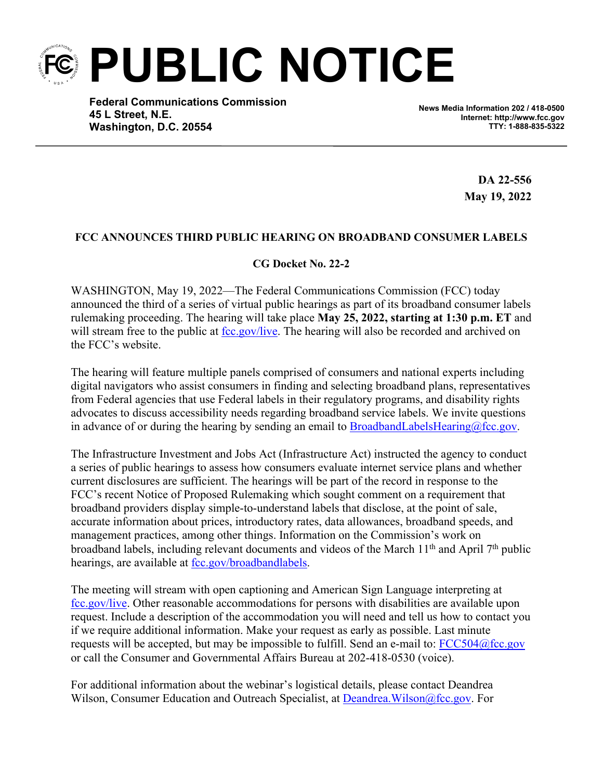**PUBLIC NOTICE**

**Federal Communications Commission 45 L Street, N.E. Washington, D.C. 20554**

**News Media Information 202 / 418-0500 Internet: http://www.fcc.gov TTY: 1-888-835-5322**

> **DA 22-556 May 19, 2022**

## **FCC ANNOUNCES THIRD PUBLIC HEARING ON BROADBAND CONSUMER LABELS**

## **CG Docket No. 22-2**

WASHINGTON, May 19, 2022—The Federal Communications Commission (FCC) today announced the third of a series of virtual public hearings as part of its broadband consumer labels rulemaking proceeding. The hearing will take place **May 25, 2022, starting at 1:30 p.m. ET** and will stream free to the public at [fcc.gov/live.](http://www.fcc.gov/live) The hearing will also be recorded and archived on the FCC's website.

The hearing will feature multiple panels comprised of consumers and national experts including digital navigators who assist consumers in finding and selecting broadband plans, representatives from Federal agencies that use Federal labels in their regulatory programs, and disability rights advocates to discuss accessibility needs regarding broadband service labels. We invite questions in advance of or during the hearing by sending an email to [BroadbandLabelsHearing@fcc.gov](mailto:BroadbandLabelsHearing@fcc.gov).

The Infrastructure Investment and Jobs Act (Infrastructure Act) instructed the agency to conduct a series of public hearings to assess how consumers evaluate internet service plans and whether current disclosures are sufficient. The hearings will be part of the record in response to the FCC's recent Notice of Proposed Rulemaking which sought comment on a requirement that broadband providers display simple-to-understand labels that disclose, at the point of sale, accurate information about prices, introductory rates, data allowances, broadband speeds, and management practices, among other things. Information on the Commission's work on broadband labels, including relevant documents and videos of the March 11th and April 7th public hearings, are available at <u>fcc.gov/broadbandlabels</u>.

The meeting will stream with open captioning and American Sign Language interpreting at [fcc.gov/live.](http://www.fcc.gov/live) Other reasonable accommodations for persons with disabilities are available upon request. Include a description of the accommodation you will need and tell us how to contact you if we require additional information. Make your request as early as possible. Last minute requests will be accepted, but may be impossible to fulfill. Send an e-mail to: [FCC504@fcc.gov](mailto:FCC504@fcc.gov) or call the Consumer and Governmental Affairs Bureau at 202-418-0530 (voice).

For additional information about the webinar's logistical details, please contact Deandrea Wilson, Consumer Education and Outreach Specialist, at Deandrea. Wilson@fcc.gov. For